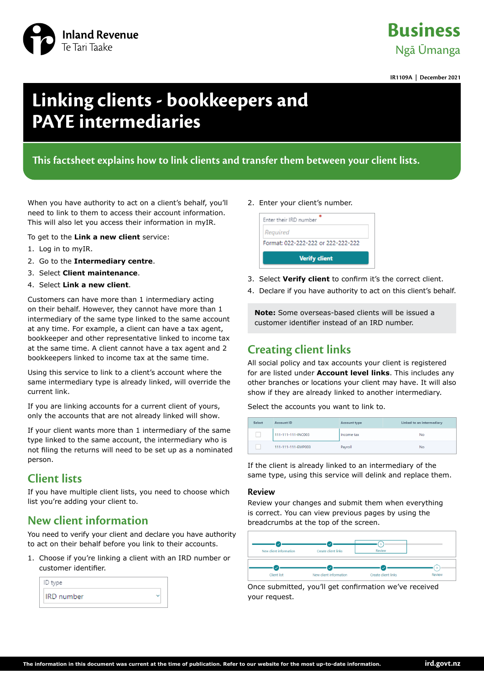

## **Business** Ngā Ūmanga

**IR1109A | December 2021**

# **Linking clients - bookkeepers and PAYE intermediaries**

### **This factsheet explains how to link clients and transfer them between your client lists.**

When you have authority to act on a client's behalf, you'll need to link to them to access their account information. This will also let you access their information in myIR.

To get to the **Link a new client** service:

- 1. Log in to myIR.
- 2. Go to the **Intermediary centre**.
- 3. Select **Client maintenance**.
- 4. Select **Link a new client**.

Customers can have more than 1 intermediary acting on their behalf. However, they cannot have more than 1 intermediary of the same type linked to the same account at any time. For example, a client can have a tax agent, bookkeeper and other representative linked to income tax at the same time. A client cannot have a tax agent and 2 bookkeepers linked to income tax at the same time.

Using this service to link to a client's account where the same intermediary type is already linked, will override the current link.

If you are linking accounts for a current client of yours, only the accounts that are not already linked will show.

If your client wants more than 1 intermediary of the same type linked to the same account, the intermediary who is not filing the returns will need to be set up as a nominated person.

### **Client lists**

If you have multiple client lists, you need to choose which list you're adding your client to.

### **New client information**

You need to verify your client and declare you have authority to act on their behalf before you link to their accounts.

1. Choose if you're linking a client with an IRD number or customer identifier.

| ID type           |  |  |  |  |
|-------------------|--|--|--|--|
| <b>IRD</b> number |  |  |  |  |

#### 2. Enter your client's number.



- 3. Select **Verify client** to confirm it's the correct client.
- 4. Declare if you have authority to act on this client's behalf.

**Note:** Some overseas-based clients will be issued a customer identifier instead of an IRD number.

### **Creating client links**

All social policy and tax accounts your client is registered for are listed under **Account level links**. This includes any other branches or locations your client may have. It will also show if they are already linked to another intermediary.

Select the accounts you want to link to.

| Select | Account ID         | Account type | Linked to an intermediary |
|--------|--------------------|--------------|---------------------------|
|        | 111-111-111-INC003 | Income tax   | No                        |
|        | 111-111-111-EMP003 | Payroll      | <b>No</b>                 |

If the client is already linked to an intermediary of the same type, using this service will delink and replace them.

#### **Review**

Review your changes and submit them when everything is correct. You can view previous pages by using the breadcrumbs at the top of the screen.

| New client information | Create client links    | Review              |              |
|------------------------|------------------------|---------------------|--------------|
| $\checkmark$           | $\mathcal{S}$          | $\checkmark$        | $\mathbf{r}$ |
| <b>Client list</b>     | New client information | Create client links | Review       |

Once submitted, you'll get confirmation we've received your request.